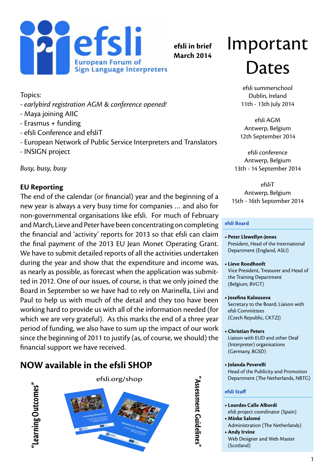

**efsli in brief March 2014**

# Important Dates

efsli summerschool Dublin, Ireland 11th - 13th July 2014

efsli AGM Antwerp, Belgium 12th September 2014

efsli conference Antwerp, Belgium 13th - 14 September 2014

efsliT Antwerp, Belgium 15th - 16th September 2014

#### **efsli Board**

- **• Peter Llewellyn-Jones** President, Head of the International Department (England, ASLI)
- **• Lieve Roodhooft** Vice President, Treasurer and Head of the Training Department (Belgium, BVGT)
- **• Josefina Kalousova** Secretary to the Board, Liaison with efsli Committees (Czech Republic, CKTZJ)
- **• Christian Peters**  Liaison with EUD and other Deaf (Interpreter) organisations (Germany, BGSD)
- **• Jolanda Peverelli** Head of the Publicity and Promotion Department (The Netherlands, NBTG)

#### **efsli Staff**

**"Assessment Guidelines"**

Assessment Guidelines

- **• Lourdes Calle Alberdi** efsli project coordinator (Spain)
- **• Minke Salomé** Administration (The Netherlands)
- **Andy Irvine**
- Web Designer and Web Master (Scotland)

Topics:

- *earlybird registration AGM & conference opened!*
- Maya joining AIIC
- Erasmus + funding
- efsli Conference and efsliT
- European Network of Public Service Interpreters and Translators
- INSIGN project

*Busy, busy, busy*

### **EU Reporting**

The end of the calendar (or financial) year and the beginning of a new year is always a very busy time for companies … and also for non-governmental organisations like efsli. For much of February and March, Lieve and Peter have been concentrating on completing the financial and 'activity' reports for 2013 so that efsli can claim the final payment of the 2013 EU Jean Monet Operating Grant. We have to submit detailed reports of all the activities undertaken during the year and show that the expenditure and income was, as nearly as possible, as forecast when the application was submitted in 2012. One of our issues, of course, is that we only joined the Board in September so we have had to rely on Marinella, Liivi and Paul to help us with much of the detail and they too have been working hard to provide us with all of the information needed (for which we are very grateful). As this marks the end of a three year period of funding, we also have to sum up the impact of our work since the beginning of 2011 to justify (as, of course, we should) the financial support we have received.

## **NOW available in the efsli SHOP**



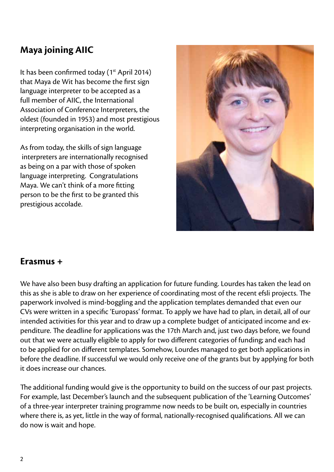## **Maya joining AIIC**

It has been confirmed today (1<sup>st</sup> April 2014) that Maya de Wit has become the first sign language interpreter to be accepted as a full member of AIIC, the International Association of Conference Interpreters, the oldest (founded in 1953) and most prestigious interpreting organisation in the world.

As from today, the skills of sign language interpreters are internationally recognised as being on a par with those of spoken language interpreting. Congratulations Maya. We can't think of a more fitting person to be the first to be granted this prestigious accolade.



### **Erasmus +**

We have also been busy drafting an application for future funding. Lourdes has taken the lead on this as she is able to draw on her experience of coordinating most of the recent efsli projects. The paperwork involved is mind-boggling and the application templates demanded that even our CVs were written in a specific 'Europass' format. To apply we have had to plan, in detail, all of our intended activities for this year and to draw up a complete budget of anticipated income and expenditure. The deadline for applications was the 17th March and, just two days before, we found out that we were actually eligible to apply for two different categories of funding; and each had to be applied for on different templates. Somehow, Lourdes managed to get both applications in before the deadline. If successful we would only receive one of the grants but by applying for both it does increase our chances.

The additional funding would give is the opportunity to build on the success of our past projects. For example, last December's launch and the subsequent publication of the 'Learning Outcomes' of a three-year interpreter training programme now needs to be built on, especially in countries where there is, as yet, little in the way of formal, nationally-recognised qualifications. All we can do now is wait and hope.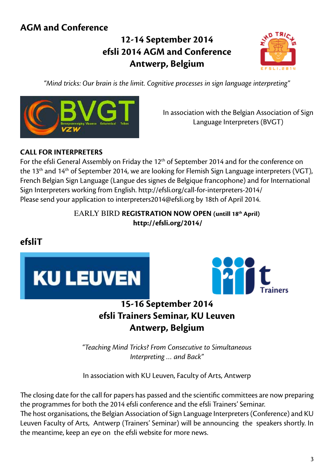## **AGM and Conference**

## **12-14 September 2014 efsli 2014 AGM and Conference Antwerp, Belgium**



*"Mind tricks: Our brain is the limit. Cognitive processes in sign language interpreting"*



In association with the Belgian Association of Sign Language Interpreters (BVGT)

### **CALL FOR INTERPRETERS**

For the efsli General Assembly on Friday the 12<sup>th</sup> of September 2014 and for the conference on the 13<sup>th</sup> and 14<sup>th</sup> of September 2014, we are looking for Flemish Sign Language interpreters (VGT), French Belgian Sign Language (Langue des signes de Belgique francophone) and for International Sign Interpreters working from English. http://efsli.org/call-for-interpreters-2014/ Please send your application to [interpreters2014@efsli.org](mailto:interpreters2014@efsli.org) by 18th of April 2014.

### EARLY BIRD **REGISTRATION NOW OPEN (untill 18th April)  [http://efsli.org/2014](http://efsli.org/2014/mindtricks2014/mind-tricks/)/**





## **Antwerp, Belgium**

*"Teaching Mind Tricks? From Consecutive to Simultaneous Interpreting … and Back"*

In association with KU Leuven, Faculty of Arts, Antwerp

The closing date for the call for papers has passed and the scientific committees are now preparing the programmes for both the 2014 efsli conference and the efsli Trainers' Seminar. The host organisations, the Belgian Association of Sign Language Interpreters (Conference) and KU Leuven Faculty of Arts, Antwerp (Trainers' Seminar) will be announcing the speakers shortly. In the meantime, keep an eye on the efsli website for more news.